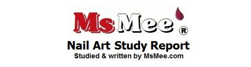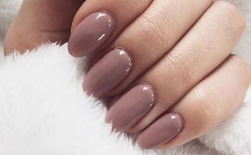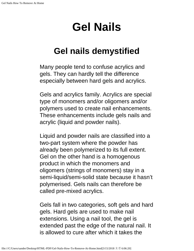# **Gel Nails**

#### **Gel nails demystified**

Many people tend to confuse acrylics and gels. They can hardly tell the difference especially between hard gels and acrylics.

Gels and acrylics family. Acrylics are special type of monomers and/or oligomers and/or polymers used to create nail enhancements. These enhancements include gels nails and acrylic (liquid and powder nails).

Liquid and powder nails are classified into a two-part system where the powder has already been polymerized to its full extent. Gel on the other hand is a homogenous product in which the monomers and oligomers (strings of monomers) stay in a semi-liquid/semi-solid state because it hasn't polymerised. Gels nails can therefore be called pre-mixed acrylics.

Gels fall in two categories, soft gels and hard gels. Hard gels are used to make nail extensions. Using a nail tool, the gel is extended past the edge of the natural nail. It is allowed to cure after which it takes the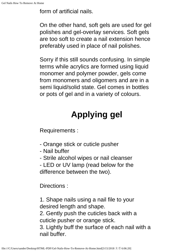form of artificial nails.

On the other hand, soft gels are used for gel polishes and gel-overlay services. Soft gels are too soft to create a nail extension hence preferably used in place of nail polishes.

Sorry if this still sounds confusing. In simple terms while acrylics are formed using liquid monomer and polymer powder, gels come from monomers and oligomers and are in a semi liquid/solid state. Gel comes in bottles or pots of gel and in a variety of colours.

## **Applying gel**

Requirements :

- Orange stick or cuticle pusher
- Nail buffer
- Strile alcohol wipes or nail cleanser
- LED or UV lamp (read below for the difference between the two).

Directions :

1. Shape nails using a nail file to your desired length and shape.

2. Gently push the cuticles back with a cuticle pusher or orange stick.

3. Lightly buff the surface of each nail with a nail buffer.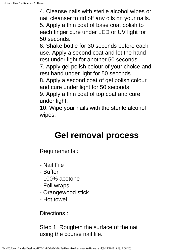4. Cleanse nails with sterile alcohol wipes or nail cleanser to rid off any oils on your nails. 5. Apply a thin coat of base coat polish to each finger cure under LED or UV light for 50 seconds.

6. Shake bottle for 30 seconds before each use. Apply a second coat and let the hand rest under light for another 50 seconds.

7. Apply gel polish colour of your choice and rest hand under light for 50 seconds.

8. Apply a second coat of gel polish colour and cure under light for 50 seconds.

9. Apply a thin coat of top coat and cure under light.

10. Wipe your nails with the sterile alcohol wipes.

### **Gel removal process**

Requirements :

- Nail File
- Buffer
- 100% acetone
- Foil wraps
- Orangewood stick
- Hot towel

Directions :

Step 1: Roughen the surface of the nail using the course nail file.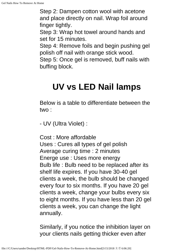Step 2: Dampen cotton wool with acetone and place directly on nail. Wrap foil around finger tightly.

Step 3: Wrap hot towel around hands and set for 15 minutes.

Step 4: Remove foils and begin pushing gel polish off nail with orange stick wood.

Step 5: Once gel is removed, buff nails with buffing block.

#### **UV vs LED Nail lamps**

Below is a table to differentiate between the two :

- UV (Ultra Violet) :

Cost : More affordable Uses : Cures all types of gel polish Average curing time : 2 minutes Energe use : Uses more energy Bulb life : Bulb need to be replaced after its shelf life expires. If you have 30-40 gel clients a week, the bulb should be changed every four to six months. If you have 20 gel clients a week, change your bulbs every six to eight months. If you have less than 20 gel clients a week, you can change the light annually.

Similarly, if you notice the inhibition layer on your clients nails getting thicker even after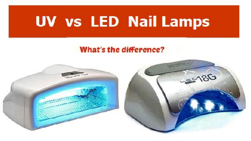#### **UV vs LED Nail Lamps**

#### What's the difference?

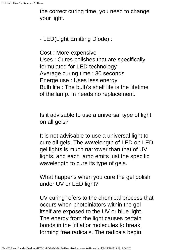the correct curing time, you need to change your light.

- LED(Light Emitting Diode) :

Cost : More expensive Uses : Cures polishes that are specifically formulated for LED technology Average curing time : 30 seconds Energe use : Uses less energy Bulb life : The bulb's shelf life is the lifetime of the lamp. In needs no replacement.

Is it advisable to use a universal type of light on all gels?

It is not advisable to use a universal light to cure all gels. The wavelength of LED on LED gel lights is much narrower than that of UV lights, and each lamp emits just the specific wavelength to cure its type of gels.

What happens when you cure the gel polish under UV or LED light?

UV curing refers to the chemical process that occurs when photoiniators within the gel itself are exposed to the UV or blue light. The energy from the light causes certain bonds in the intiatior molecules to break, forming free radicals. The radicals begin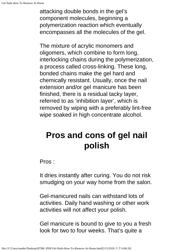attacking double bonds in the gel's component molecules, beginning a polymerization reaction which eventually encompasses all the molecules of the gel.

The mixture of acrylic monomers and oligomers, which combine to form long, interlocking chains during the polymerization, a process called cross-linking. These long, bonded chains make the gel hard and chemically resistant. Usually, once the nail extension and/or gel manicure has been finished, there is a residual tacky layer, referred to as 'inhibition layer', which is removed by wiping with a preferably lint-free wipe soaked in high concentrate alcohol.

#### **Pros and cons of gel nail polish**

Pros :

It dries instantly after curing. You do not risk smudging on your way home from the salon.

Gel-manicured nails can withstand lots of activities. Daily hand washing or other work activities will not affect your polish.

Gel manicure is bound to give to you a fresh look for two to four weeks. That's quite a